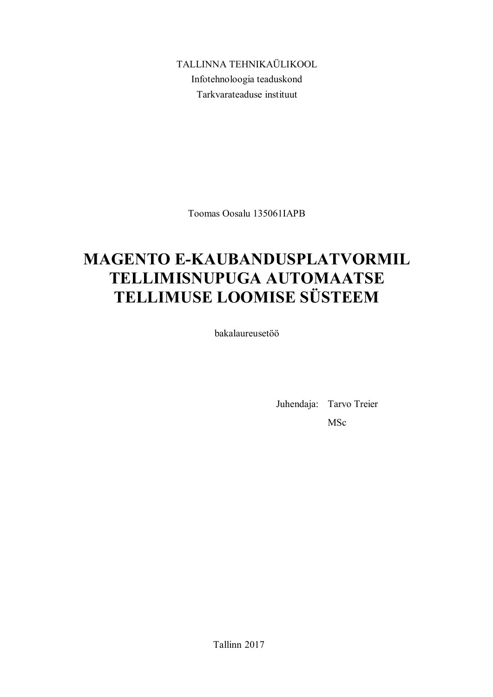TALLINNA TEHNIKAÜLIKOOL Infotehnoloogia teaduskond Tarkvarateaduse instituut

Toomas Oosalu 135061IAPB

## **MAGENTO E-KAUBANDUSPLATVORMIL TELLIMISNUPUGA AUTOMAATSE TELLIMUSE LOOMISE SÜSTEEM**

bakalaureusetöö

Juhendaja: Tarvo Treier MSc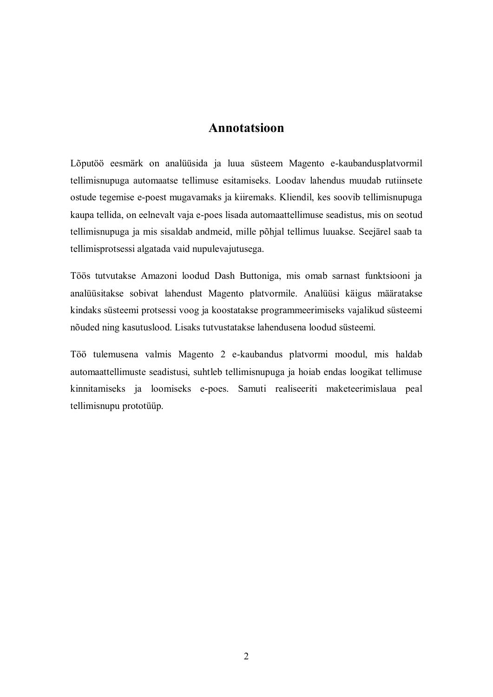## **Annotatsioon**

Lõputöö eesmärk on analüüsida ja luua süsteem Magento e-kaubandusplatvormil tellimisnupuga automaatse tellimuse esitamiseks. Loodav lahendus muudab rutiinsete ostude tegemise e-poest mugavamaks ja kiiremaks. Kliendil, kes soovib tellimisnupuga kaupa tellida, on eelnevalt vaja e-poes lisada automaattellimuse seadistus, mis on seotud tellimisnupuga ja mis sisaldab andmeid, mille põhjal tellimus luuakse. Seejärel saab ta tellimisprotsessi algatada vaid nupulevajutusega.

Töös tutvutakse Amazoni loodud Dash Buttoniga, mis omab sarnast funktsiooni ja analüüsitakse sobivat lahendust Magento platvormile. Analüüsi käigus määratakse kindaks süsteemi protsessi voog ja koostatakse programmeerimiseks vajalikud süsteemi nõuded ning kasutuslood. Lisaks tutvustatakse lahendusena loodud süsteemi.

Töö tulemusena valmis Magento 2 e-kaubandus platvormi moodul, mis haldab automaattellimuste seadistusi, suhtleb tellimisnupuga ja hoiab endas loogikat tellimuse kinnitamiseks ja loomiseks e-poes. Samuti realiseeriti maketeerimislaua peal tellimisnupu prototüüp.